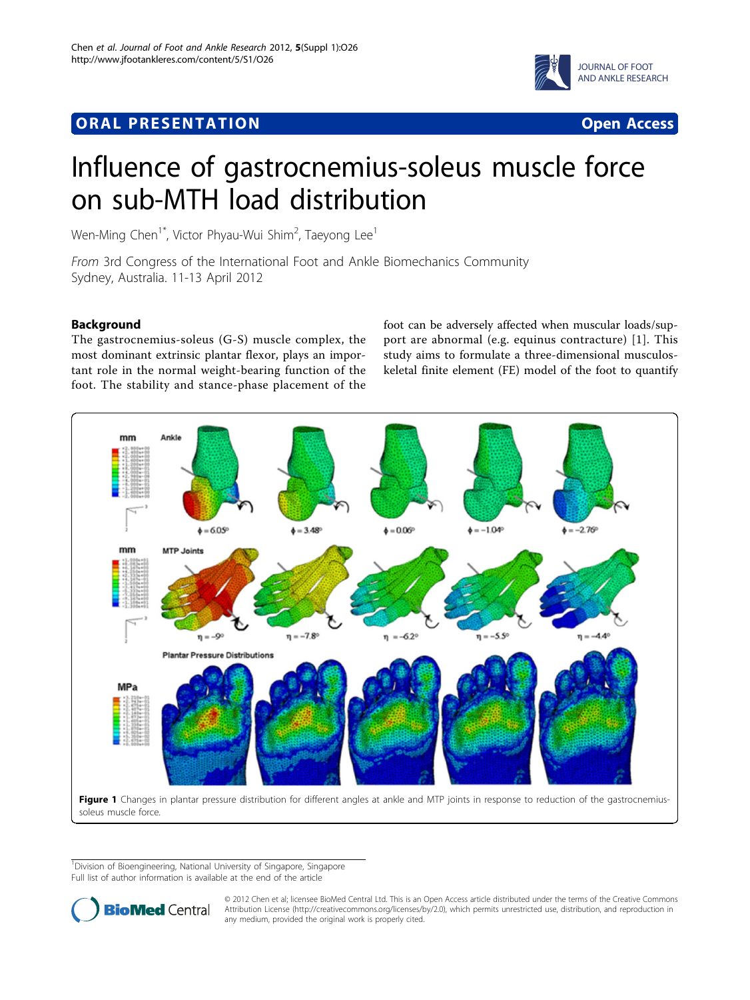## <span id="page-0-0"></span>**ORAL PRESENTATION CONSUMING ACCESS**





# Influence of gastrocnemius-soleus muscle force on sub-MTH load distribution

Wen-Ming Chen $^{\dagger *}$ , Victor Phyau-Wui Shim $^2$ , Taeyong Lee $^{\dagger}$ 

From 3rd Congress of the International Foot and Ankle Biomechanics Community Sydney, Australia. 11-13 April 2012

### Background

The gastrocnemius-soleus (G-S) muscle complex, the most dominant extrinsic plantar flexor, plays an important role in the normal weight-bearing function of the foot. The stability and stance-phase placement of the

foot can be adversely affected when muscular loads/support are abnormal (e.g. equinus contracture) [[1](#page-1-0)]. This study aims to formulate a three-dimensional musculoskeletal finite element (FE) model of the foot to quantify



<sup>&</sup>lt;sup>1</sup>Division of Bioengineering, National University of Singapore, Singapore Full list of author information is available at the end of the article



© 2012 Chen et al; licensee BioMed Central Ltd. This is an Open Access article distributed under the terms of the Creative Commons Attribution License [\(http://creativecommons.org/licenses/by/2.0](http://creativecommons.org/licenses/by/2.0)), which permits unrestricted use, distribution, and reproduction in any medium, provided the original work is properly cited.